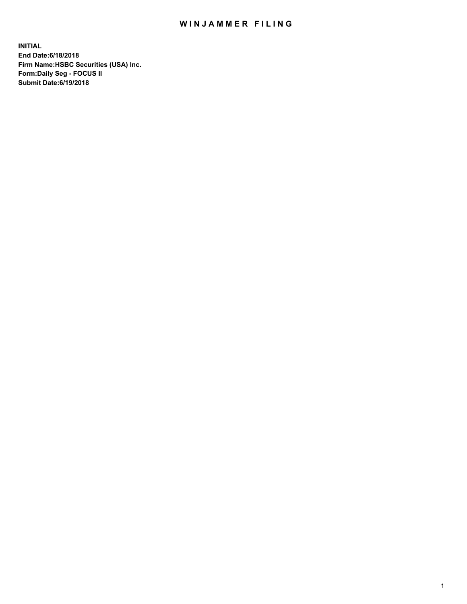## WIN JAMMER FILING

**INITIAL End Date:6/18/2018 Firm Name:HSBC Securities (USA) Inc. Form:Daily Seg - FOCUS II Submit Date:6/19/2018**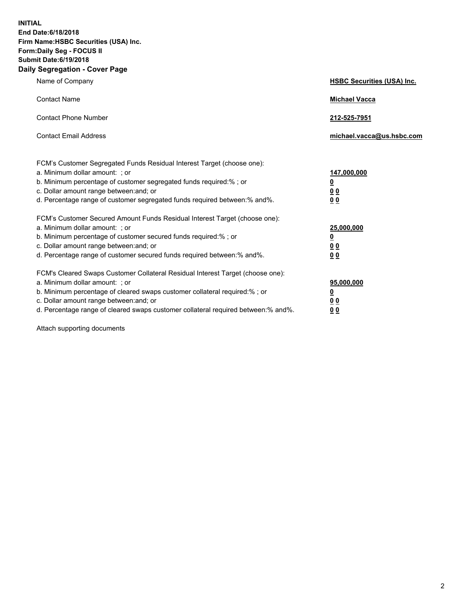**INITIAL End Date:6/18/2018 Firm Name:HSBC Securities (USA) Inc. Form:Daily Seg - FOCUS II Submit Date:6/19/2018 Daily Segregation - Cover Page**

| Name of Company                                                                                                                                                                                                                                                                                                                | <b>HSBC Securities (USA) Inc.</b>                                           |
|--------------------------------------------------------------------------------------------------------------------------------------------------------------------------------------------------------------------------------------------------------------------------------------------------------------------------------|-----------------------------------------------------------------------------|
| <b>Contact Name</b>                                                                                                                                                                                                                                                                                                            | <b>Michael Vacca</b>                                                        |
| <b>Contact Phone Number</b>                                                                                                                                                                                                                                                                                                    | 212-525-7951                                                                |
| <b>Contact Email Address</b>                                                                                                                                                                                                                                                                                                   | michael.vacca@us.hsbc.com                                                   |
| FCM's Customer Segregated Funds Residual Interest Target (choose one):<br>a. Minimum dollar amount: ; or<br>b. Minimum percentage of customer segregated funds required:% ; or<br>c. Dollar amount range between: and; or<br>d. Percentage range of customer segregated funds required between:% and%.                         | 147,000,000<br>$\underline{\mathbf{0}}$<br>0 <sub>0</sub><br>0 <sub>0</sub> |
| FCM's Customer Secured Amount Funds Residual Interest Target (choose one):<br>a. Minimum dollar amount: ; or<br>b. Minimum percentage of customer secured funds required:% ; or<br>c. Dollar amount range between: and; or<br>d. Percentage range of customer secured funds required between: % and %.                         | 25,000,000<br><u>0</u><br>0 <sub>0</sub><br>0 <sub>0</sub>                  |
| FCM's Cleared Swaps Customer Collateral Residual Interest Target (choose one):<br>a. Minimum dollar amount: ; or<br>b. Minimum percentage of cleared swaps customer collateral required:% ; or<br>c. Dollar amount range between: and; or<br>d. Percentage range of cleared swaps customer collateral required between:% and%. | 95,000,000<br><u>0</u><br>00<br>00                                          |

Attach supporting documents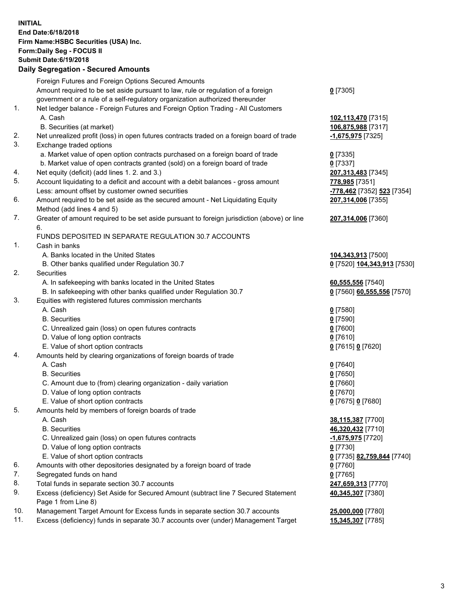**INITIAL End Date:6/18/2018 Firm Name:HSBC Securities (USA) Inc. Form:Daily Seg - FOCUS II Submit Date:6/19/2018 Daily Segregation - Secured Amounts** Foreign Futures and Foreign Options Secured Amounts Amount required to be set aside pursuant to law, rule or regulation of a foreign government or a rule of a self-regulatory organization authorized thereunder 1. Net ledger balance - Foreign Futures and Foreign Option Trading - All Customers A. Cash **102,113,470** [7315] B. Securities (at market) **106,875,988** [7317] 2. Net unrealized profit (loss) in open futures contracts traded on a foreign board of trade **-1,675,975** [7325] 3. Exchange traded options a. Market value of open option contracts purchased on a foreign board of trade **0** [7335] b. Market value of open contracts granted (sold) on a foreign board of trade **0** [7337] 4. Net equity (deficit) (add lines 1. 2. and 3.) **207,313,483** [7345] 5. Account liquidating to a deficit and account with a debit balances - gross amount **778,985** [7351] Less: amount offset by customer owned securities **-778,462** [7352] **523** [7354] 6. Amount required to be set aside as the secured amount - Net Liquidating Equity Method (add lines 4 and 5) 7. Greater of amount required to be set aside pursuant to foreign jurisdiction (above) or line 6. FUNDS DEPOSITED IN SEPARATE REGULATION 30.7 ACCOUNTS 1. Cash in banks A. Banks located in the United States **104,343,913** [7500] B. Other banks qualified under Regulation 30.7 **0** [7520] **104,343,913** [7530] 2. Securities A. In safekeeping with banks located in the United States **60,555,556** [7540] B. In safekeeping with other banks qualified under Regulation 30.7 **0** [7560] **60,555,556** [7570] 3. Equities with registered futures commission merchants A. Cash **0** [7580] B. Securities **0** [7590] C. Unrealized gain (loss) on open futures contracts **0** [7600] D. Value of long option contracts **0** [7610]

- E. Value of short option contracts **0** [7615] **0** [7620]
- 4. Amounts held by clearing organizations of foreign boards of trade
	- A. Cash **0** [7640] B. Securities **0** [7650]
	- C. Amount due to (from) clearing organization daily variation **0** [7660]
	- D. Value of long option contracts **0** [7670]
	- E. Value of short option contracts **0** [7675] **0** [7680]
- 5. Amounts held by members of foreign boards of trade
	-
	-
	- C. Unrealized gain (loss) on open futures contracts **-1,675,975** [7720]
	- D. Value of long option contracts **0** [7730]
	- E. Value of short option contracts **0** [7735] **82,759,844** [7740]
- 6. Amounts with other depositories designated by a foreign board of trade **0** [7760]
- 7. Segregated funds on hand **0** [7765]
- 8. Total funds in separate section 30.7 accounts **247,659,313** [7770]
- 9. Excess (deficiency) Set Aside for Secured Amount (subtract line 7 Secured Statement Page 1 from Line 8)
- 10. Management Target Amount for Excess funds in separate section 30.7 accounts **25,000,000** [7780]
- 11. Excess (deficiency) funds in separate 30.7 accounts over (under) Management Target **15,345,307** [7785]

**207,314,006** [7355]

**207,314,006** [7360]

 A. Cash **38,115,387** [7700] B. Securities **46,320,432** [7710]

**40,345,307** [7380]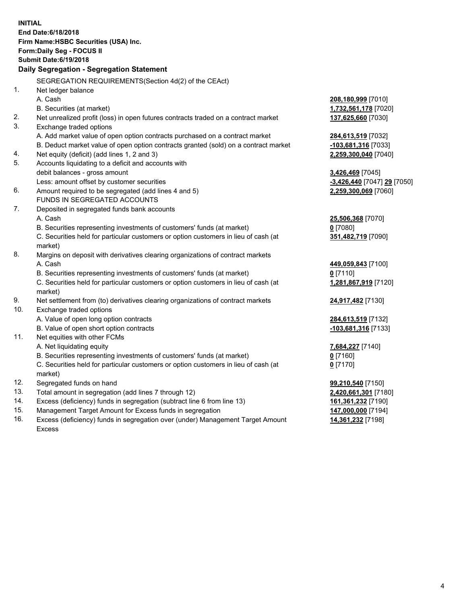|     | <b>INITIAL</b><br>End Date: 6/18/2018<br>Firm Name: HSBC Securities (USA) Inc.<br><b>Form:Daily Seg - FOCUS II</b><br><b>Submit Date:6/19/2018</b><br>Daily Segregation - Segregation Statement |                                           |
|-----|-------------------------------------------------------------------------------------------------------------------------------------------------------------------------------------------------|-------------------------------------------|
|     | SEGREGATION REQUIREMENTS(Section 4d(2) of the CEAct)                                                                                                                                            |                                           |
| 1.  | Net ledger balance                                                                                                                                                                              |                                           |
|     | A. Cash                                                                                                                                                                                         | 208,180,999 [7010]                        |
|     | B. Securities (at market)                                                                                                                                                                       | 1,732,561,178 [7020]                      |
| 2.  | Net unrealized profit (loss) in open futures contracts traded on a contract market                                                                                                              | 137,625,660 [7030]                        |
| 3.  | Exchange traded options                                                                                                                                                                         |                                           |
|     | A. Add market value of open option contracts purchased on a contract market                                                                                                                     | 284,613,519 [7032]                        |
|     | B. Deduct market value of open option contracts granted (sold) on a contract market                                                                                                             | -103,681,316 [7033]                       |
| 4.  | Net equity (deficit) (add lines 1, 2 and 3)                                                                                                                                                     | 2,259,300,040 [7040]                      |
| 5.  | Accounts liquidating to a deficit and accounts with                                                                                                                                             |                                           |
|     | debit balances - gross amount                                                                                                                                                                   | 3,426,469 [7045]                          |
|     | Less: amount offset by customer securities                                                                                                                                                      | <u>-3,426,440</u> [7047] <u>29</u> [7050] |
| 6.  | Amount required to be segregated (add lines 4 and 5)                                                                                                                                            | 2,259,300,069 [7060]                      |
|     | FUNDS IN SEGREGATED ACCOUNTS                                                                                                                                                                    |                                           |
| 7.  | Deposited in segregated funds bank accounts                                                                                                                                                     |                                           |
|     | A. Cash                                                                                                                                                                                         | 25,506,368 [7070]                         |
|     | B. Securities representing investments of customers' funds (at market)                                                                                                                          | $0$ [7080]                                |
|     | C. Securities held for particular customers or option customers in lieu of cash (at<br>market)                                                                                                  | 351,482,719 [7090]                        |
| 8.  | Margins on deposit with derivatives clearing organizations of contract markets                                                                                                                  |                                           |
|     | A. Cash                                                                                                                                                                                         | 449,059,843 [7100]                        |
|     | B. Securities representing investments of customers' funds (at market)                                                                                                                          | $0$ [7110]                                |
|     | C. Securities held for particular customers or option customers in lieu of cash (at<br>market)                                                                                                  | 1,281,867,919 [7120]                      |
| 9.  | Net settlement from (to) derivatives clearing organizations of contract markets                                                                                                                 | 24,917,482 [7130]                         |
| 10. | Exchange traded options                                                                                                                                                                         |                                           |
|     | A. Value of open long option contracts                                                                                                                                                          | 284,613,519 [7132]                        |
|     | B. Value of open short option contracts                                                                                                                                                         | -103,681,316 [7133]                       |
| 11. | Net equities with other FCMs                                                                                                                                                                    |                                           |
|     | A. Net liquidating equity                                                                                                                                                                       | 7,684,227 [7140]                          |
|     | B. Securities representing investments of customers' funds (at market)                                                                                                                          | $0$ [7160]                                |
|     | C. Securities held for particular customers or option customers in lieu of cash (at                                                                                                             | $0$ [7170]                                |
|     | market)                                                                                                                                                                                         |                                           |
| 12. | Segregated funds on hand                                                                                                                                                                        | 99,210,540 [7150]                         |
| 13. | Total amount in segregation (add lines 7 through 12)                                                                                                                                            | 2,420,661,301 [7180]                      |
| 14. | Excess (deficiency) funds in segregation (subtract line 6 from line 13)                                                                                                                         | 161,361,232 [7190]                        |
| 15. | Management Target Amount for Excess funds in segregation                                                                                                                                        | 147,000,000 [7194]                        |

16. Excess (deficiency) funds in segregation over (under) Management Target Amount Excess

**14,361,232** [7198]